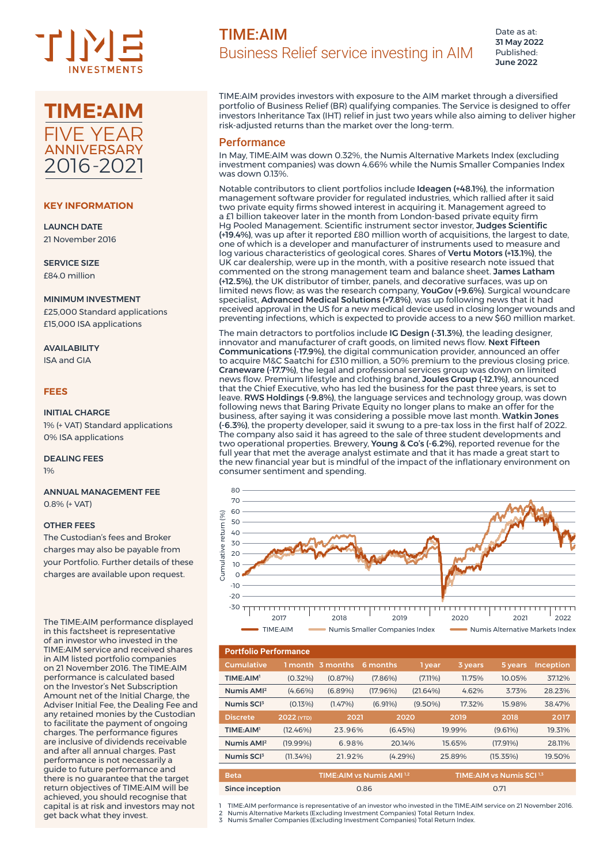



## **KEY INFORMATION**

LAUNCH DATE 21 November 2016

SERVICE SIZE £84.0 million

#### MINIMUM INVESTMENT

£25,000 Standard applications £15,000 ISA applications

# AVAILABILITY

ISA and GIA

## **FEES**

## INITIAL CHARGE

1% (+ VAT) Standard applications 0% ISA applications

#### DEALING FEES 1%

### ANNUAL MANAGEMENT FEE 0.8% (+ VAT)

#### OTHER FEES

The Custodian's fees and Broker charges may also be payable from your Portfolio. Further details of these charges are available upon request.

The TIME:AIM performance displayed in this factsheet is representative of an investor who invested in the TIME:AIM service and received shares in AIM listed portfolio companies on 21 November 2016. The TIME:AIM performance is calculated based on the Investor's Net Subscription Amount net of the Initial Charge, the Adviser Initial Fee, the Dealing Fee and any retained monies by the Custodian to facilitate the payment of ongoing charges. The performance figures are inclusive of dividends receivable and after all annual charges. Past performance is not necessarily a guide to future performance and there is no guarantee that the target return objectives of TIME:AIM will be achieved, you should recognise that capital is at risk and investors may not get back what they invest.

Date as at: 31 May 2022 Published: June 2022

TIME:AIM provides investors with exposure to the AIM market through a diversified portfolio of Business Relief (BR) qualifying companies. The Service is designed to offer investors Inheritance Tax (IHT) relief in just two years while also aiming to deliver higher risk-adjusted returns than the market over the long-term.

## Performance

In May, TIME:AIM was down 0.32%, the Numis Alternative Markets Index (excluding investment companies) was down 4.66% while the Numis Smaller Companies Index was down 0.13%.

Notable contributors to client portfolios include Ideagen (+48.1%), the information management software provider for regulated industries, which rallied after it said two private equity firms showed interest in acquiring it. Management agreed to a £1 billion takeover later in the month from London-based private equity firm Hg Pooled Management. Scientific instrument sector investor, Judges Scientific (+19.4%), was up after it reported £80 million worth of acquisitions, the largest to date, one of which is a developer and manufacturer of instruments used to measure and log various characteristics of geological cores. Shares of Vertu Motors (+13.1%), the UK car dealership, were up in the month, with a positive research note issued that commented on the strong management team and balance sheet. James Latham (+12.5%), the UK distributor of timber, panels, and decorative surfaces, was up on limited news flow; as was the research company, YouGov (+9.6%). Surgical woundcare specialist, Advanced Medical Solutions (+7.8%), was up following news that it had received approval in the US for a new medical device used in closing longer wounds and preventing infections, which is expected to provide access to a new \$60 million market.

The main detractors to portfolios include IG Design (-31.3%), the leading designer, innovator and manufacturer of craft goods, on limited news flow. Next Fifteen Communications (-17.9%), the digital communication provider, announced an offer to acquire M&C Saatchi for £310 million, a 50% premium to the previous closing price. Craneware (-17.7%), the legal and professional services group was down on limited news flow. Premium lifestyle and clothing brand, Joules Group (-12.1%), announced that the Chief Executive, who has led the business for the past three years, is set to leave. RWS Holdings (-9.8%), the language services and technology group, was down following news that Baring Private Equity no longer plans to make an offer for the business, after saying it was considering a possible move last month. Watkin Jones (-6.3%), the property developer, said it swung to a pre-tax loss in the first half of 2022. The company also said it has agreed to the sale of three student developments and two operational properties. Brewery, Young & Co's (-6.2%), reported revenue for the full year that met the average analyst estimate and that it has made a great start to the new financial year but is mindful of the impact of the inflationary environment on consumer sentiment and spending.



| <b>Portfolio Performance</b> |             |            |                                       |            |                            |          |                  |  |
|------------------------------|-------------|------------|---------------------------------------|------------|----------------------------|----------|------------------|--|
| <b>Cumulative</b>            | 1 month     | 3 months   | 6 months                              | 1 year     | 3 years                    | 5 years  | <b>Inception</b> |  |
| TIME:AIM <sup>1</sup>        | $(0.32\%)$  | (0.87%)    | $(7.86\%)$                            | $(7.11\%)$ | 11.75%                     | 10.05%   | 37.12%           |  |
| Numis AMP                    | $(4.66\%)$  | $(6.89\%)$ | $(17.96\%)$                           | (21.64%)   | 4.62%                      | 3.73%    | 28.23%           |  |
| Numis SCI3                   | (0.13%)     | (1.47%)    | (6.91%)                               | $(9.50\%)$ | 17.32%                     | 15.98%   | 38.47%           |  |
| <b>Discrete</b>              | 2022 (YTD)  | 2021       |                                       | 2020       | 2019                       | 2018     | 2017             |  |
| TIME: AIM <sup>1</sup>       | (12.46%)    | 23.96%     | (6.45%)                               |            | 19.99%                     | (9.61%)  | 19.31%           |  |
| Numis AMI <sup>2</sup>       | $(19.99\%)$ | 6.98%      | 20.14%                                |            | 15.65%                     | (17.91%) | 28.11%           |  |
| Numis SCI <sup>3</sup>       | (11.34%)    | 21.92%     | (4.29%)                               |            | 25.89%                     | (15.35%) | 19.50%           |  |
| <b>Beta</b>                  |             |            | TIME: AIM vs Numis AMI <sup>1,2</sup> |            |                            |          |                  |  |
|                              |             |            |                                       |            | TIME: AIM vs Numis SCI 1.3 |          |                  |  |
| <b>Since inception</b>       |             | 0.86       |                                       |            | 0.71                       |          |                  |  |

1 TIME:AIM performance is representative of an investor who invested in the TIME:AIM service on 21 November 2016.

2 Numis Alternative Markets (Excluding Investment Companies) Total Return Index. 3 Numis Smaller Companies (Excluding Investment Companies) Total Return Index.